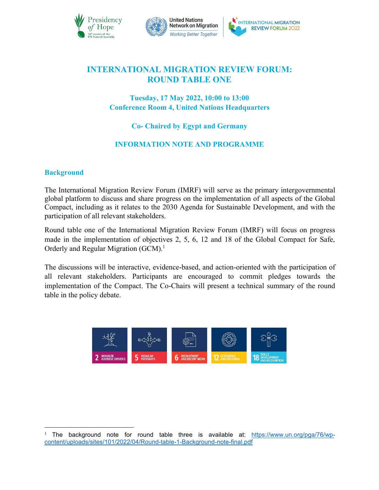



# **INTERNATIONAL MIGRATION REVIEW FORUM: ROUND TABLE ONE**

## **Tuesday, 17 May 2022, 10:00 to 13:00 Conference Room 4, United Nations Headquarters**

## **Co- Chaired by Egypt and Germany**

## **INFORMATION NOTE AND PROGRAMME**

## **Background**

The International Migration Review Forum (IMRF) will serve as the primary intergovernmental global platform to discuss and share progress on the implementation of all aspects of the Global Compact, including as it relates to the 2030 Agenda for Sustainable Development, and with the participation of all relevant stakeholders.

Round table one of the International Migration Review Forum (IMRF) will focus on progress made in the implementation of objectives 2, 5, 6, 12 and 18 of the Global Compact for Safe, Orderly and Regular Migration (GCM).<sup>[1](#page-0-0)</sup>

The discussions will be interactive, evidence-based, and action-oriented with the participation of all relevant stakeholders. Participants are encouraged to commit pledges towards the implementation of the Compact. The Co-Chairs will present a technical summary of the round table in the policy debate.



<span id="page-0-0"></span><sup>&</sup>lt;sup>1</sup> The background note for round table three is available at: [https://www.un.org/pga/76/wp](https://www.un.org/pga/76/wp-content/uploads/sites/101/2022/04/Round-table-1-Background-note-final.pdf) content/uploads/sites/101/2022/04/Round-table-1-Background-note-final.pdf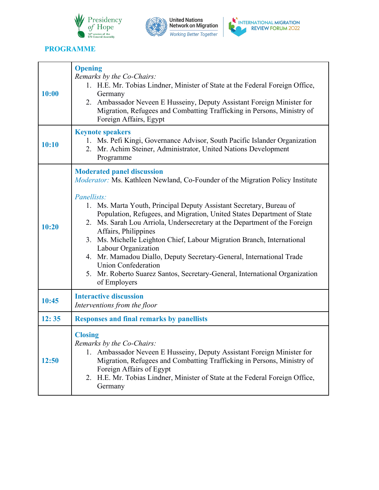





## **PROGRAMME**

| 10:00 | <b>Opening</b><br>Remarks by the Co-Chairs:<br>1. H.E. Mr. Tobias Lindner, Minister of State at the Federal Foreign Office,<br>Germany<br>2. Ambassador Neveen E Husseiny, Deputy Assistant Foreign Minister for<br>Migration, Refugees and Combatting Trafficking in Persons, Ministry of<br>Foreign Affairs, Egypt                                                                                                                                                                                                                                                                                                                                                                                 |
|-------|------------------------------------------------------------------------------------------------------------------------------------------------------------------------------------------------------------------------------------------------------------------------------------------------------------------------------------------------------------------------------------------------------------------------------------------------------------------------------------------------------------------------------------------------------------------------------------------------------------------------------------------------------------------------------------------------------|
| 10:10 | <b>Keynote speakers</b><br>1. Ms. Pefi Kingi, Governance Advisor, South Pacific Islander Organization<br>2. Mr. Achim Steiner, Administrator, United Nations Development<br>Programme                                                                                                                                                                                                                                                                                                                                                                                                                                                                                                                |
| 10:20 | <b>Moderated panel discussion</b><br><i>Moderator:</i> Ms. Kathleen Newland, Co-Founder of the Migration Policy Institute<br>Panellists:<br>1. Ms. Marta Youth, Principal Deputy Assistant Secretary, Bureau of<br>Population, Refugees, and Migration, United States Department of State<br>2. Ms. Sarah Lou Arriola, Undersecretary at the Department of the Foreign<br>Affairs, Philippines<br>3. Ms. Michelle Leighton Chief, Labour Migration Branch, International<br>Labour Organization<br>4. Mr. Mamadou Diallo, Deputy Secretary-General, International Trade<br><b>Union Confederation</b><br>5. Mr. Roberto Suarez Santos, Secretary-General, International Organization<br>of Employers |
| 10:45 | <b>Interactive discussion</b><br>Interventions from the floor                                                                                                                                                                                                                                                                                                                                                                                                                                                                                                                                                                                                                                        |
| 12:35 | <b>Responses and final remarks by panellists</b>                                                                                                                                                                                                                                                                                                                                                                                                                                                                                                                                                                                                                                                     |
| 12:50 | <b>Closing</b><br>Remarks by the Co-Chairs:<br>1. Ambassador Neveen E Husseiny, Deputy Assistant Foreign Minister for<br>Migration, Refugees and Combatting Trafficking in Persons, Ministry of<br>Foreign Affairs of Egypt<br>2. H.E. Mr. Tobias Lindner, Minister of State at the Federal Foreign Office,<br>Germany                                                                                                                                                                                                                                                                                                                                                                               |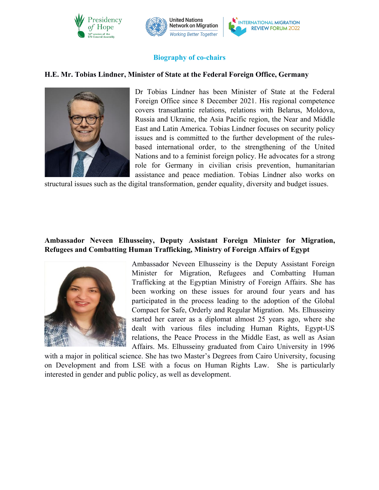



## **Biography of co-chairs**

### **H.E. Mr. Tobias Lindner, Minister of State at the Federal Foreign Office, Germany**



Dr Tobias Lindner has been Minister of State at the Federal Foreign Office since 8 December 2021. His regional competence covers transatlantic relations, relations with Belarus, Moldova, Russia and Ukraine, the Asia Pacific region, the Near and Middle East and Latin America. Tobias Lindner focuses on security policy issues and is committed to the further development of the rules based international order, to the strengthening of the United Nations and to a feminist foreign policy. He advocates for a strong role for Germany in civilian crisis prevention, humanitarian assistance and peace mediation. Tobias Lindner also works on

structural issues such as the digital transformation, gender equality, diversity and budget issues.

## **Ambassador Neveen Elhusseiny, Deputy Assistant Foreign Minister for Migration, Refugees and Combatting Human Trafficking, Ministry of Foreign Affairs of Egypt**



Ambassador Neveen Elhusseiny is the Deputy Assistant Foreign Minister for Migration, Refugees and Combatting Human Trafficking at the Egyptian Ministry of Foreign Affairs. She has been working on these issues for around four years and has participated in the process leading to the adoption of the Global Compact for Safe, Orderly and Regular Migration. Ms. Elhusseiny started her career as a diplomat almost 25 years ago, where she dealt with various files including Human Rights, Egypt-US relations, the Peace Process in the Middle East, as well as Asian Affairs. Ms. Elhusseiny graduated from Cairo University in 1996

with a major in political science. She has two Master's Degrees from Cairo University, focusing on Development and from LSE with a focus on Human Rights Law. She is particularly interested in gender and public policy, as well as development.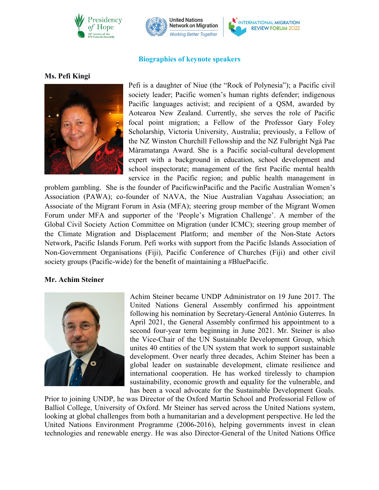



### **Biographies** of keynote speakers

#### **Ms. Pefi Kingi**



Pefi is a daughter of Niue (the "Rock of Polynesia"); a Pacific civil society leader; Pacific women's human rights defender; indigenous Pacific languages activist; and recipient of a QSM, awarded by Aotearoa New Zealand. Currently, she serves the role of Pacific focal point migration; a Fellow of the Professor Gary Foley Scholarship, Victoria University, Australia; previously, a Fellow of the NZ Winston Churchill Fellowship and the NZ Fulbright Ngà Pae Màramatanga Award. She is a Pacific social-cultural development expert with a background in education, school development and school inspectorate; management of the first Pacific mental health service in the Pacific region; and public health management in

problem gambling. She is the founder of PacificwinPacific and the Pacific Australian Women's Association (PAWA); co-founder of NAVA, the Niue Australian Vagahau Association; an Associate of the Migrant Forum in Asia (MFA); steering group member of the Migrant Women Forum under MFA and supporter of the 'People's Migration Challenge'. A member of the Global Civil Society Action Committee on Migration (under ICMC); steering group member of the Climate Migration and Displacement Platform; and member of the Non-State Actors Network, Pacific Islands Forum. Pefi works with support from the Pacific Islands Association of Non-Government Organisations (Fiji), Pacific Conference of Churches (Fiji) and other civil society groups (Pacific-wide) for the benefit of maintaining a #BluePacific.

#### **Mr. Achim Steiner**



Achim Steiner became UNDP Administrator on 19 June 2017. The United Nations General Assembly confirmed his appointment following his nomination by Secretary-General António Guterres. In April 2021, the General Assembly confirmed his appointment to a second four-year term beginning in June 2021. Mr. Steiner is also the Vice-Chair of the UN Sustainable Development Group, which unites 40 entities of the UN system that work to support sustainable development. Over nearly three decades, Achim Steiner has been a global leader on sustainable development, climate resilience and international cooperation. He has worked tirelessly to champion sustainability, economic growth and equality for the vulnerable, and has been a vocal advocate for the Sustainable Development Goals.

Prior to joining UNDP, he was Director of the Oxford Martin School and Professorial Fellow of Balliol College, University of Oxford. Mr Steiner has served across the United Nations system, looking at global challenges from both a humanitarian and a development perspective. He led the United Nations Environment Programme (2006-2016), helping governments invest in clean technologies and renewable energy. He was also Director-General of the United Nations Office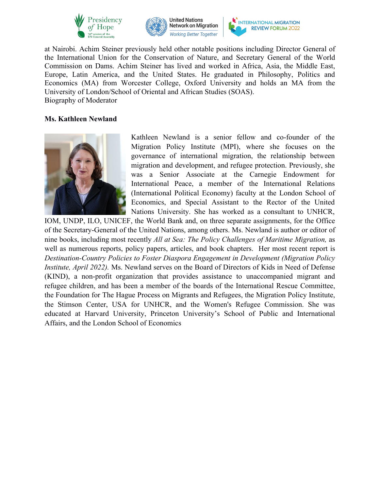





at Nairobi. Achim Steiner previously held other notable positions including Director General of the International Union for the Conservation of Nature, and Secretary General of the World Commission on Dams. Achim Steiner has lived and worked in Africa, Asia, the Middle East, Europe, Latin America, and the United States. He graduated in Philosophy, Politics and Economics (MA) from Worcester College, Oxford University and holds an MA from the University of London/School of Oriental and African Studies (SOAS). Biography of Moderator

### **Ms. Kathleen Newland**



Kathleen Newland is a senior fellow and co-founder of the Migration Policy Institute (MPI), where she focuses on the governance of international migration, the relationship between migration and development, and refugee protection. Previously, she was a Senior Associate at the Carnegie Endowment for International Peace, a member of the International Relations (International Political Economy) faculty at the London School of Economics, and Special Assistant to the Rector of the United Nations University. She has worked as a consultant to UNHCR,

IOM, UNDP, ILO, UNICEF, the World Bank and, on three separate assignments, for the Office of the Secretary-General of the United Nations, among others. Ms.Newland is author or editor of nine books, including most recently *All at Sea: The Policy Challenges of Maritime Migration,* as well as numerous reports, policy papers, articles, and book chapters. Her most recent report is *Destination-Country Policies to Foster Diaspora Engagement in Development (Migration Policy Institute, April 2022).* Ms. Newland serves on the Board of Directors of Kids in Need of Defense (KIND), a non-profit organization that provides assistance to unaccompanied migrant and refugee children, and has been a member of the boards of the International Rescue Committee, the Foundation for The Hague Process on Migrants and Refugees, the Migration Policy Institute, the Stimson Center, USA for UNHCR, and the Women's Refugee Commission. She was educated at Harvard University, Princeton University's School of Public and International Affairs, and the London School of Economics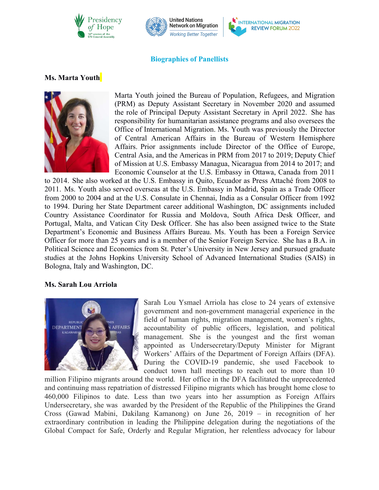



## **Biographies** of Panellists

## **Ms. Marta Youth**



Marta Youth joined the Bureau of Population, Refugees, and Migration (PRM) as Deputy Assistant Secretary in November 2020 and assumed the role of Principal Deputy Assistant Secretary in April 2022. She has responsibility for humanitarian assistance programs and also oversees the Office of International Migration. Ms. Youth was previously the Director of Central American Affairs in the Bureau of Western Hemisphere Affairs. Prior assignments include Director of the Office of Europe, Central Asia, and the Americas in PRM from 2017 to 2019; Deputy Chief of Mission at U.S. Embassy Managua, Nicaragua from 2014 to 2017; and Economic Counselor at the U.S. Embassy in Ottawa, Canada from 2011

to 2014. She also worked at the U.S. Embassy in Quito, Ecuador as Press Attaché from 2008 to 2011. Ms. Youth also served overseas at the U.S. Embassy in Madrid, Spain as a Trade Officer from 2000 to 2004 and at the U.S. Consulate in Chennai, India as a Consular Officer from 1992 to 1994. During her State Department career additional Washington, DC assignments included Country Assistance Coordinator for Russia and Moldova, South Africa Desk Officer, and Portugal, Malta, and Vatican City Desk Officer. She has also been assigned twice to the State Department's Economic and Business Affairs Bureau. Ms. Youth has been a Foreign Service Officer for more than 25 years and is a member of the Senior Foreign Service. She has a B.A. in Political Science and Economics from St. Peter's University in New Jersey and pursued graduate studies at the Johns Hopkins University School of Advanced International Studies (SAIS) in Bologna, Italy and Washington, DC.

#### **Ms. Sarah Lou Arriola**



Sarah Lou Ysmael Arriola has close to 24 years of extensive government and non-government managerial experience in the field of human rights, migration management, women's rights, accountability of public officers, legislation, and political management. She is the youngest and the first woman appointed as Undersecretary/Deputy Minister for Migrant Workers' Affairs of the Department of Foreign Affairs (DFA). During the COVID-19 pandemic, she used Facebook to conduct town hall meetings to reach out to more than 10

million Filipino migrants around the world. Her office in the DFA facilitated the unprecedented and continuing mass repatriation of distressed Filipino migrants which has brought home close to 460,000 Filipinos to date. Less than two years into her assumption as Foreign Affairs Undersecretary, she was awarded by the President of the Republic of the Philippines the Grand Cross (Gawad Mabini, Dakilang Kamanong) on June 26, 2019 – in recognition of her extraordinary contribution in leading the Philippine delegation during the negotiations of the Global Compact for Safe, Orderly and Regular Migration, her relentless advocacy for labour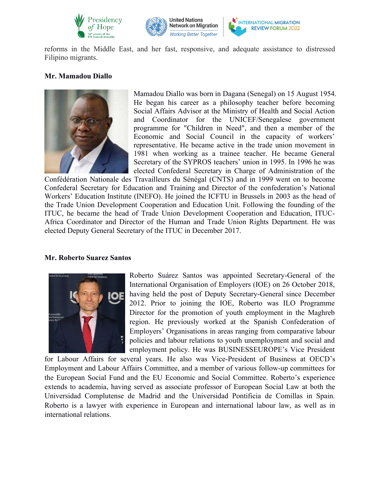



reforms in the Middle East, and her fast, responsive, and adequate assistance to distressed Filipino migrants.

### **Mr. Mamadou Diallo**



Mamadou Diallo was born in Dagana (Senegal) on 15 August 1954. He began his career as a philosophy teacher before becoming Social Affairs Advisor at the Ministry of Health and Social Action and Coordinator for the UNICEF/Senegalese government programme for "Children in Need", and then a member of the Economic and Social Council in the capacity of workers' representative. He became active in the trade union movement in 1981 when working as a trainee teacher. He became General Secretary of the SYPROS teachers' union in 1995. In 1996 he was elected Confederal Secretary in Charge of Administration of the

Confédération Nationale des Travailleurs du Sénégal (CNTS) and in 1999 went on to become Confederal Secretary for Education and Training and Director of the confederation's National Workers' Education Institute (INEFO). He joined the ICFTU in Brussels in 2003 as the head of the Trade Union Development Cooperation and Education Unit. Following the founding of the ITUC, he became the head of Trade Union Development Cooperation and Education, ITUC- Africa Coordinator and Director of the Human and Trade Union Rights Department. He was elected Deputy General Secretary of the ITUC in December 2017.

### **Mr. Roberto Suarez Santos**



Roberto Suárez Santos was appointed Secretary-General of the International Organisation of Employers (IOE) on 26 October 2018, having held the post of Deputy Secretary-General since December 2012. Prior to joining the IOE, Roberto was ILO Programme Director for the promotion of youth employment in the Maghreb region. He previously worked at the Spanish Confederation of Employers' Organisations in areas ranging from comparative labour policies and labour relations to youth unemployment and social and employment policy. He was BUSINESSEUROPE's Vice President

for Labour Affairs for several years. He also was Vice-President of Business at OECD's Employment and LabourAffairs Committee, and a member of various follow-up committees for the European Social Fund and the EU Economic and Social Committee. Roberto's experience extends to academia, having served as associate professor of European Social Law at both the Universidad Complutense de Madrid and the Universidad Pontificia de Comillas in Spain. Roberto is a lawyer with experience in European and international labour law, as well as in international relations.